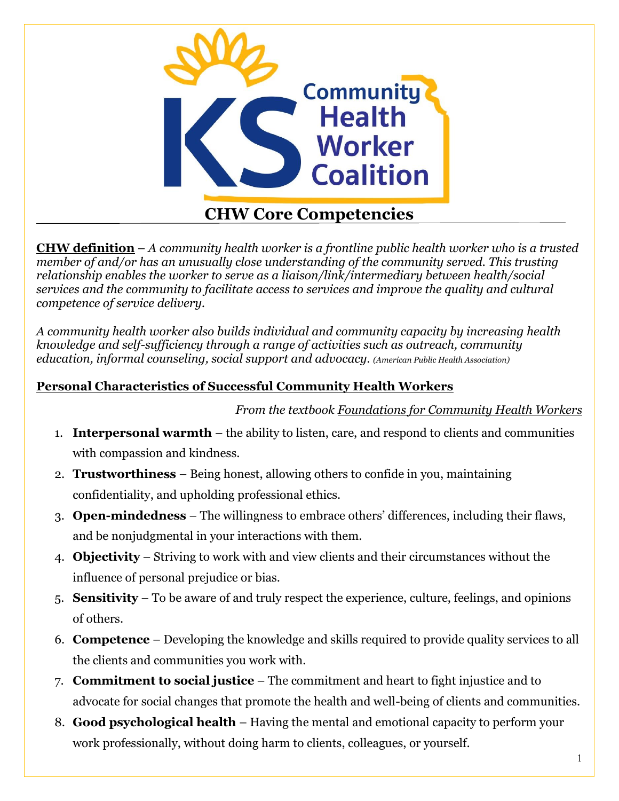

**CHW definition** – *A community health worker is a frontline public health worker who is a trusted member of and/or has an unusually close understanding of the community served. This trusting relationship enables the worker to serve as a liaison/link/intermediary between health/social services and the community to facilitate access to services and improve the quality and cultural competence of service delivery.*

*A community health worker also builds individual and community capacity by increasing health knowledge and self-sufficiency through a range of activities such as outreach, community education, informal counseling, social support and advocacy. (American Public Health Association)*

## **Personal Characteristics of Successful Community Health Workers**

*From the textbook Foundations for Community Health Workers*

- 1. **Interpersonal warmth** the ability to listen, care, and respond to clients and communities with compassion and kindness.
- 2. **Trustworthiness**  Being honest, allowing others to confide in you, maintaining confidentiality, and upholding professional ethics.
- 3. **Open-mindedness** The willingness to embrace others' differences, including their flaws, and be nonjudgmental in your interactions with them.
- 4. **Objectivity** Striving to work with and view clients and their circumstances without the influence of personal prejudice or bias.
- 5. **Sensitivity** To be aware of and truly respect the experience, culture, feelings, and opinions of others.
- 6. **Competence** Developing the knowledge and skills required to provide quality services to all the clients and communities you work with.
- 7. **Commitment to social justice** The commitment and heart to fight injustice and to advocate for social changes that promote the health and well-being of clients and communities.
- 8. **Good psychological health** Having the mental and emotional capacity to perform your work professionally, without doing harm to clients, colleagues, or yourself.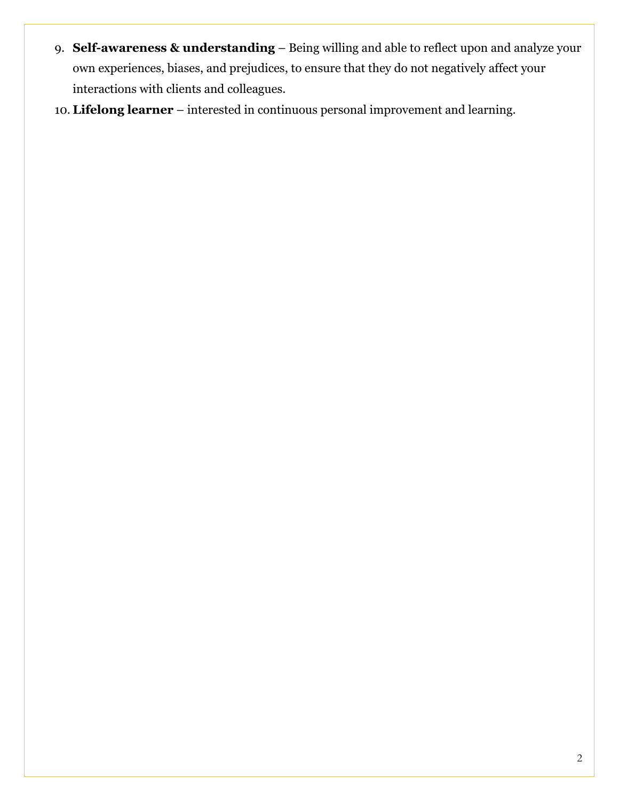- 9. **Self-awareness & understanding** Being willing and able to reflect upon and analyze your own experiences, biases, and prejudices, to ensure that they do not negatively affect your interactions with clients and colleagues.
- 10. **Lifelong learner** interested in continuous personal improvement and learning.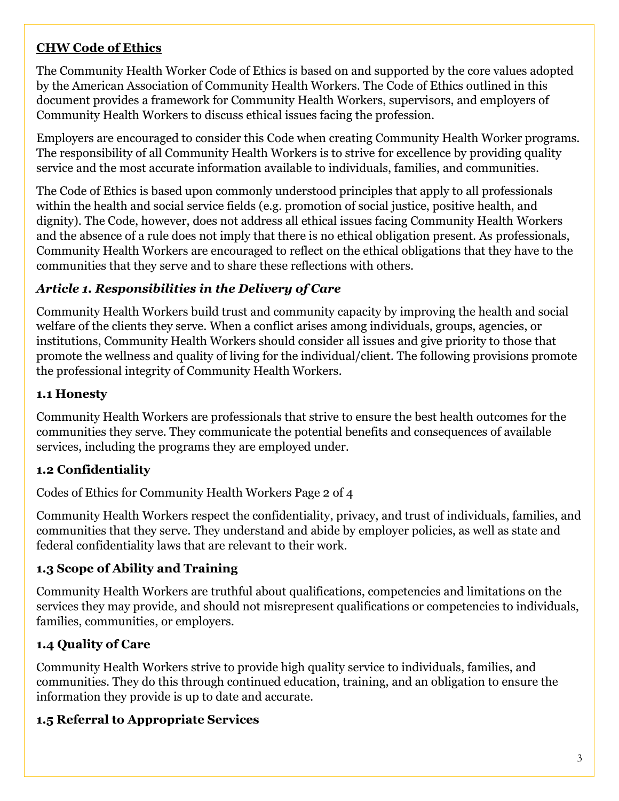# **CHW Code of Ethics**

The Community Health Worker Code of Ethics is based on and supported by the core values adopted by the American Association of Community Health Workers. The Code of Ethics outlined in this document provides a framework for Community Health Workers, supervisors, and employers of Community Health Workers to discuss ethical issues facing the profession.

Employers are encouraged to consider this Code when creating Community Health Worker programs. The responsibility of all Community Health Workers is to strive for excellence by providing quality service and the most accurate information available to individuals, families, and communities.

The Code of Ethics is based upon commonly understood principles that apply to all professionals within the health and social service fields (e.g. promotion of social justice, positive health, and dignity). The Code, however, does not address all ethical issues facing Community Health Workers and the absence of a rule does not imply that there is no ethical obligation present. As professionals, Community Health Workers are encouraged to reflect on the ethical obligations that they have to the communities that they serve and to share these reflections with others.

#### *Article 1. Responsibilities in the Delivery of Care*

Community Health Workers build trust and community capacity by improving the health and social welfare of the clients they serve. When a conflict arises among individuals, groups, agencies, or institutions, Community Health Workers should consider all issues and give priority to those that promote the wellness and quality of living for the individual/client. The following provisions promote the professional integrity of Community Health Workers.

#### **1.1 Honesty**

Community Health Workers are professionals that strive to ensure the best health outcomes for the communities they serve. They communicate the potential benefits and consequences of available services, including the programs they are employed under.

#### **1.2 Confidentiality**

Codes of Ethics for Community Health Workers Page 2 of 4

Community Health Workers respect the confidentiality, privacy, and trust of individuals, families, and communities that they serve. They understand and abide by employer policies, as well as state and federal confidentiality laws that are relevant to their work.

#### **1.3 Scope of Ability and Training**

Community Health Workers are truthful about qualifications, competencies and limitations on the services they may provide, and should not misrepresent qualifications or competencies to individuals, families, communities, or employers.

## **1.4 Quality of Care**

Community Health Workers strive to provide high quality service to individuals, families, and communities. They do this through continued education, training, and an obligation to ensure the information they provide is up to date and accurate.

#### **1.5 Referral to Appropriate Services**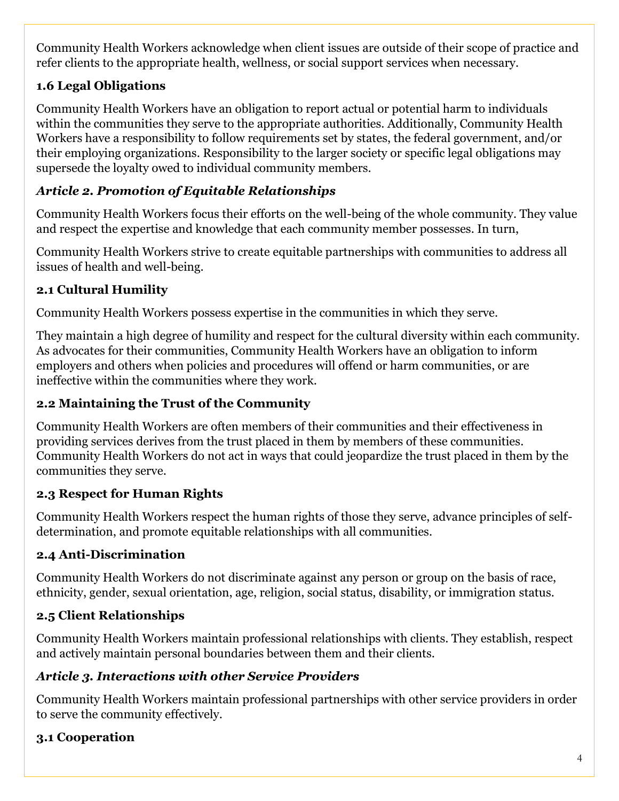Community Health Workers acknowledge when client issues are outside of their scope of practice and refer clients to the appropriate health, wellness, or social support services when necessary.

# **1.6 Legal Obligations**

Community Health Workers have an obligation to report actual or potential harm to individuals within the communities they serve to the appropriate authorities. Additionally, Community Health Workers have a responsibility to follow requirements set by states, the federal government, and/or their employing organizations. Responsibility to the larger society or specific legal obligations may supersede the loyalty owed to individual community members.

## *Article 2. Promotion of Equitable Relationships*

Community Health Workers focus their efforts on the well-being of the whole community. They value and respect the expertise and knowledge that each community member possesses. In turn,

Community Health Workers strive to create equitable partnerships with communities to address all issues of health and well-being.

## **2.1 Cultural Humility**

Community Health Workers possess expertise in the communities in which they serve.

They maintain a high degree of humility and respect for the cultural diversity within each community. As advocates for their communities, Community Health Workers have an obligation to inform employers and others when policies and procedures will offend or harm communities, or are ineffective within the communities where they work.

#### **2.2 Maintaining the Trust of the Community**

Community Health Workers are often members of their communities and their effectiveness in providing services derives from the trust placed in them by members of these communities. Community Health Workers do not act in ways that could jeopardize the trust placed in them by the communities they serve.

## **2.3 Respect for Human Rights**

Community Health Workers respect the human rights of those they serve, advance principles of selfdetermination, and promote equitable relationships with all communities.

## **2.4 Anti-Discrimination**

Community Health Workers do not discriminate against any person or group on the basis of race, ethnicity, gender, sexual orientation, age, religion, social status, disability, or immigration status.

## **2.5 Client Relationships**

Community Health Workers maintain professional relationships with clients. They establish, respect and actively maintain personal boundaries between them and their clients.

## *Article 3. Interactions with other Service Providers*

Community Health Workers maintain professional partnerships with other service providers in order to serve the community effectively.

## **3.1 Cooperation**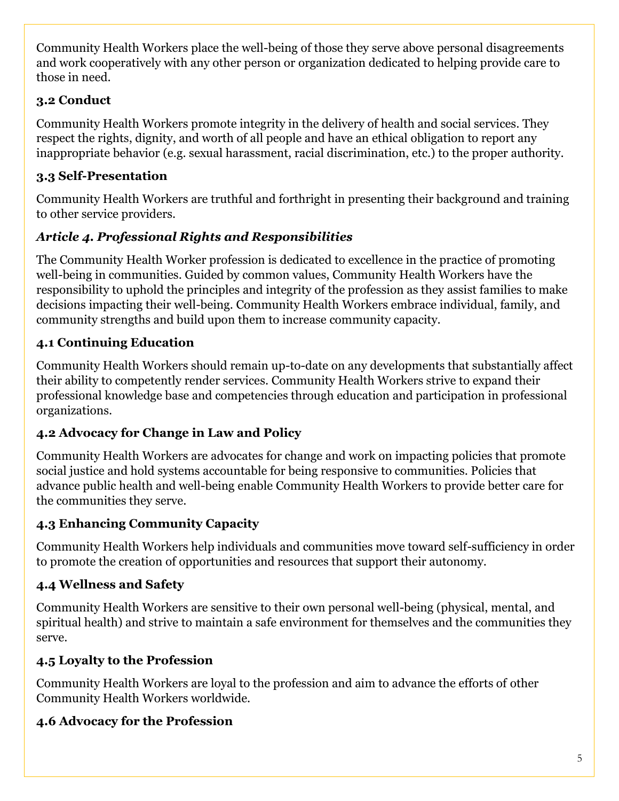Community Health Workers place the well-being of those they serve above personal disagreements and work cooperatively with any other person or organization dedicated to helping provide care to those in need.

## **3.2 Conduct**

Community Health Workers promote integrity in the delivery of health and social services. They respect the rights, dignity, and worth of all people and have an ethical obligation to report any inappropriate behavior (e.g. sexual harassment, racial discrimination, etc.) to the proper authority.

## **3.3 Self-Presentation**

Community Health Workers are truthful and forthright in presenting their background and training to other service providers.

# *Article 4. Professional Rights and Responsibilities*

The Community Health Worker profession is dedicated to excellence in the practice of promoting well-being in communities. Guided by common values, Community Health Workers have the responsibility to uphold the principles and integrity of the profession as they assist families to make decisions impacting their well-being. Community Health Workers embrace individual, family, and community strengths and build upon them to increase community capacity.

## **4.1 Continuing Education**

Community Health Workers should remain up-to-date on any developments that substantially affect their ability to competently render services. Community Health Workers strive to expand their professional knowledge base and competencies through education and participation in professional organizations.

## **4.2 Advocacy for Change in Law and Policy**

Community Health Workers are advocates for change and work on impacting policies that promote social justice and hold systems accountable for being responsive to communities. Policies that advance public health and well-being enable Community Health Workers to provide better care for the communities they serve.

## **4.3 Enhancing Community Capacity**

Community Health Workers help individuals and communities move toward self-sufficiency in order to promote the creation of opportunities and resources that support their autonomy.

## **4.4 Wellness and Safety**

Community Health Workers are sensitive to their own personal well-being (physical, mental, and spiritual health) and strive to maintain a safe environment for themselves and the communities they serve.

## **4.5 Loyalty to the Profession**

Community Health Workers are loyal to the profession and aim to advance the efforts of other Community Health Workers worldwide.

## **4.6 Advocacy for the Profession**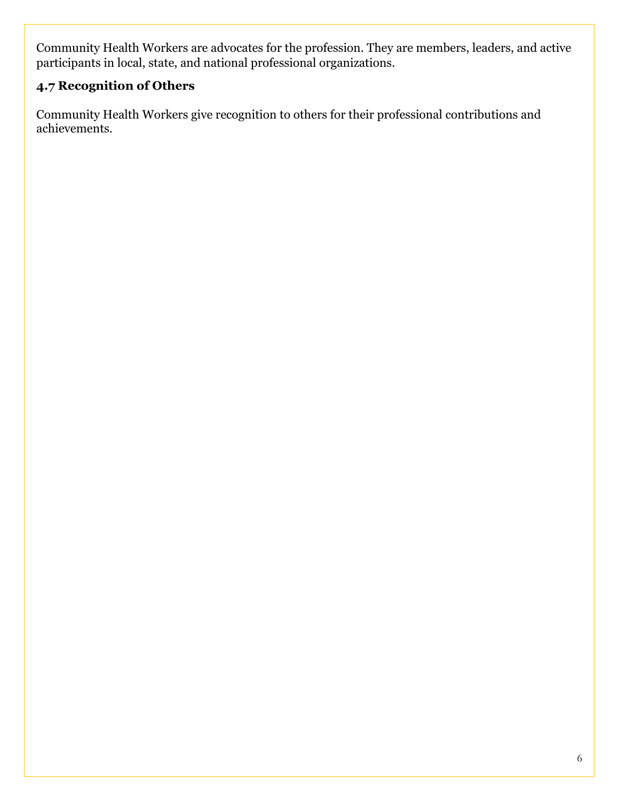Community Health Workers are advocates for the profession. They are members, leaders, and active participants in local, state, and national professional organizations.

# **4.7 Recognition of Others**

Community Health Workers give recognition to others for their professional contributions and achievements.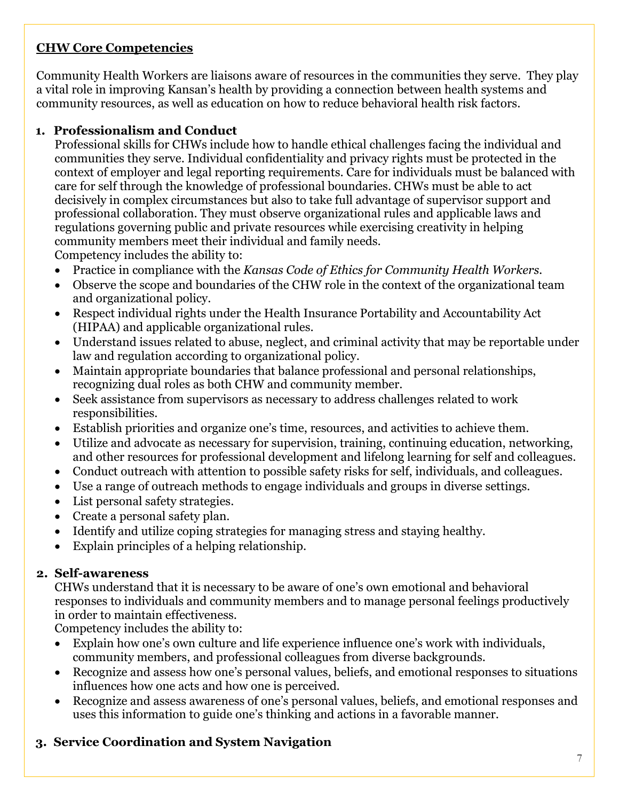# **CHW Core Competencies**

Community Health Workers are liaisons aware of resources in the communities they serve. They play a vital role in improving Kansan's health by providing a connection between health systems and community resources, as well as education on how to reduce behavioral health risk factors.

#### **1. Professionalism and Conduct**

Professional skills for CHWs include how to handle ethical challenges facing the individual and communities they serve. Individual confidentiality and privacy rights must be protected in the context of employer and legal reporting requirements. Care for individuals must be balanced with care for self through the knowledge of professional boundaries. CHWs must be able to act decisively in complex circumstances but also to take full advantage of supervisor support and professional collaboration. They must observe organizational rules and applicable laws and regulations governing public and private resources while exercising creativity in helping community members meet their individual and family needs.

Competency includes the ability to:

- Practice in compliance with the *Kansas Code of Ethics for Community Health Workers.*
- Observe the scope and boundaries of the CHW role in the context of the organizational team and organizational policy.
- Respect individual rights under the Health Insurance Portability and Accountability Act (HIPAA) and applicable organizational rules.
- Understand issues related to abuse, neglect, and criminal activity that may be reportable under law and regulation according to organizational policy.
- Maintain appropriate boundaries that balance professional and personal relationships, recognizing dual roles as both CHW and community member.
- Seek assistance from supervisors as necessary to address challenges related to work responsibilities.
- Establish priorities and organize one's time, resources, and activities to achieve them.
- Utilize and advocate as necessary for supervision, training, continuing education, networking, and other resources for professional development and lifelong learning for self and colleagues.
- Conduct outreach with attention to possible safety risks for self, individuals, and colleagues.
- Use a range of outreach methods to engage individuals and groups in diverse settings.
- List personal safety strategies.
- Create a personal safety plan.
- Identify and utilize coping strategies for managing stress and staying healthy.
- Explain principles of a helping relationship.

#### **2. Self-awareness**

CHWs understand that it is necessary to be aware of one's own emotional and behavioral responses to individuals and community members and to manage personal feelings productively in order to maintain effectiveness.

Competency includes the ability to:

- Explain how one's own culture and life experience influence one's work with individuals, community members, and professional colleagues from diverse backgrounds.
- Recognize and assess how one's personal values, beliefs, and emotional responses to situations influences how one acts and how one is perceived.
- Recognize and assess awareness of one's personal values, beliefs, and emotional responses and uses this information to guide one's thinking and actions in a favorable manner.

## **3. Service Coordination and System Navigation**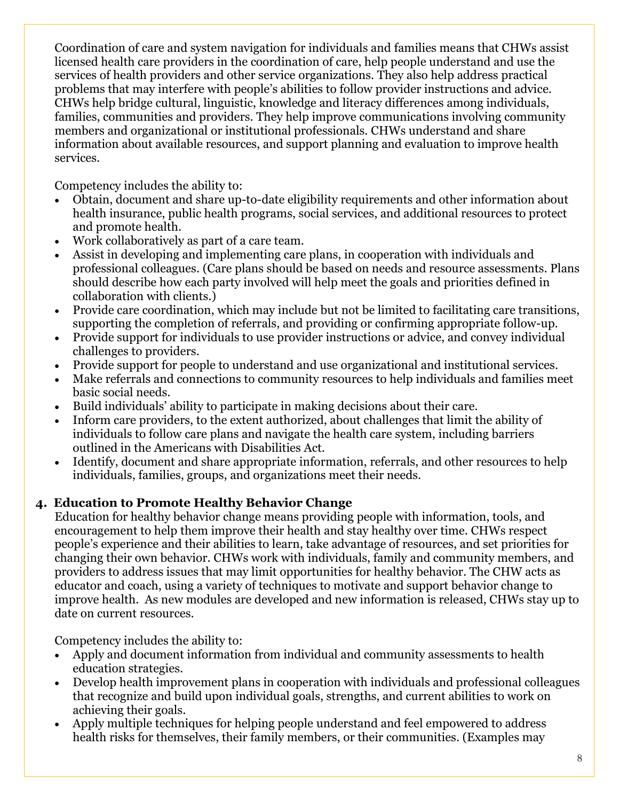Coordination of care and system navigation for individuals and families means that CHWs assist licensed health care providers in the coordination of care, help people understand and use the services of health providers and other service organizations. They also help address practical problems that may interfere with people's abilities to follow provider instructions and advice. CHWs help bridge cultural, linguistic, knowledge and literacy differences among individuals, families, communities and providers. They help improve communications involving community members and organizational or institutional professionals. CHWs understand and share information about available resources, and support planning and evaluation to improve health services.

Competency includes the ability to:

- Obtain, document and share up-to-date eligibility requirements and other information about health insurance, public health programs, social services, and additional resources to protect and promote health.
- Work collaboratively as part of a care team.
- Assist in developing and implementing care plans, in cooperation with individuals and professional colleagues. (Care plans should be based on needs and resource assessments. Plans should describe how each party involved will help meet the goals and priorities defined in collaboration with clients.)
- Provide care coordination, which may include but not be limited to facilitating care transitions, supporting the completion of referrals, and providing or confirming appropriate follow-up.
- Provide support for individuals to use provider instructions or advice, and convey individual challenges to providers.
- Provide support for people to understand and use organizational and institutional services.
- Make referrals and connections to community resources to help individuals and families meet basic social needs.
- Build individuals' ability to participate in making decisions about their care.
- Inform care providers, to the extent authorized, about challenges that limit the ability of individuals to follow care plans and navigate the health care system, including barriers outlined in the Americans with Disabilities Act.
- Identify, document and share appropriate information, referrals, and other resources to help individuals, families, groups, and organizations meet their needs.

#### **4. Education to Promote Healthy Behavior Change**

Education for healthy behavior change means providing people with information, tools, and encouragement to help them improve their health and stay healthy over time. CHWs respect people's experience and their abilities to learn, take advantage of resources, and set priorities for changing their own behavior. CHWs work with individuals, family and community members, and providers to address issues that may limit opportunities for healthy behavior. The CHW acts as educator and coach, using a variety of techniques to motivate and support behavior change to improve health. As new modules are developed and new information is released, CHWs stay up to date on current resources.

Competency includes the ability to:

- Apply and document information from individual and community assessments to health education strategies.
- Develop health improvement plans in cooperation with individuals and professional colleagues that recognize and build upon individual goals, strengths, and current abilities to work on achieving their goals.
- Apply multiple techniques for helping people understand and feel empowered to address health risks for themselves, their family members, or their communities. (Examples may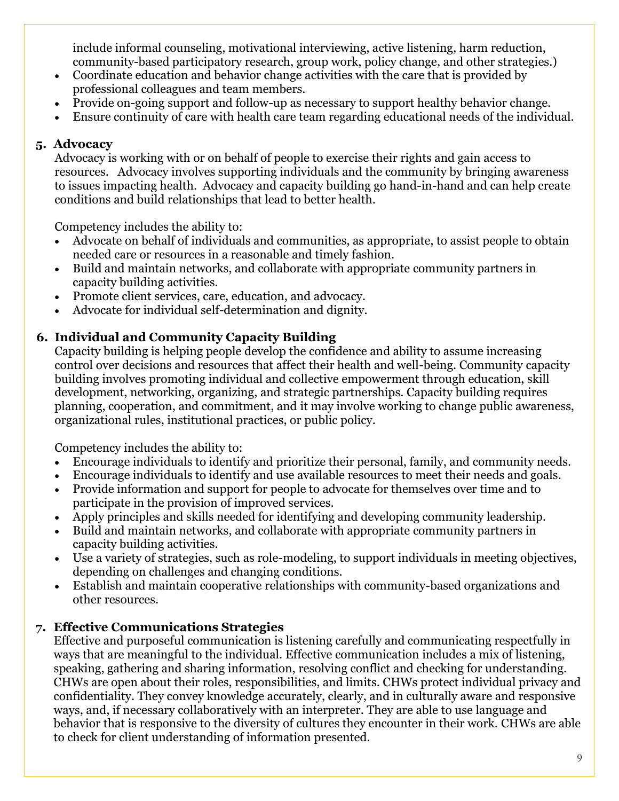include informal counseling, motivational interviewing, active listening, harm reduction, community-based participatory research, group work, policy change, and other strategies.)

- Coordinate education and behavior change activities with the care that is provided by professional colleagues and team members.
- Provide on-going support and follow-up as necessary to support healthy behavior change.
- Ensure continuity of care with health care team regarding educational needs of the individual.

#### **5. Advocacy**

Advocacy is working with or on behalf of people to exercise their rights and gain access to resources. Advocacy involves supporting individuals and the community by bringing awareness to issues impacting health. Advocacy and capacity building go hand-in-hand and can help create conditions and build relationships that lead to better health.

Competency includes the ability to:

- Advocate on behalf of individuals and communities, as appropriate, to assist people to obtain needed care or resources in a reasonable and timely fashion.
- Build and maintain networks, and collaborate with appropriate community partners in capacity building activities.
- Promote client services, care, education, and advocacy.
- Advocate for individual self-determination and dignity.

#### **6. Individual and Community Capacity Building**

Capacity building is helping people develop the confidence and ability to assume increasing control over decisions and resources that affect their health and well-being. Community capacity building involves promoting individual and collective empowerment through education, skill development, networking, organizing, and strategic partnerships. Capacity building requires planning, cooperation, and commitment, and it may involve working to change public awareness, organizational rules, institutional practices, or public policy.

Competency includes the ability to:

- Encourage individuals to identify and prioritize their personal, family, and community needs.
- Encourage individuals to identify and use available resources to meet their needs and goals.
- Provide information and support for people to advocate for themselves over time and to participate in the provision of improved services.
- Apply principles and skills needed for identifying and developing community leadership.
- Build and maintain networks, and collaborate with appropriate community partners in capacity building activities.
- Use a variety of strategies, such as role-modeling, to support individuals in meeting objectives, depending on challenges and changing conditions.
- Establish and maintain cooperative relationships with community-based organizations and other resources.

#### **7. Effective Communications Strategies**

Effective and purposeful communication is listening carefully and communicating respectfully in ways that are meaningful to the individual. Effective communication includes a mix of listening, speaking, gathering and sharing information, resolving conflict and checking for understanding. CHWs are open about their roles, responsibilities, and limits. CHWs protect individual privacy and confidentiality. They convey knowledge accurately, clearly, and in culturally aware and responsive ways, and, if necessary collaboratively with an interpreter. They are able to use language and behavior that is responsive to the diversity of cultures they encounter in their work. CHWs are able to check for client understanding of information presented.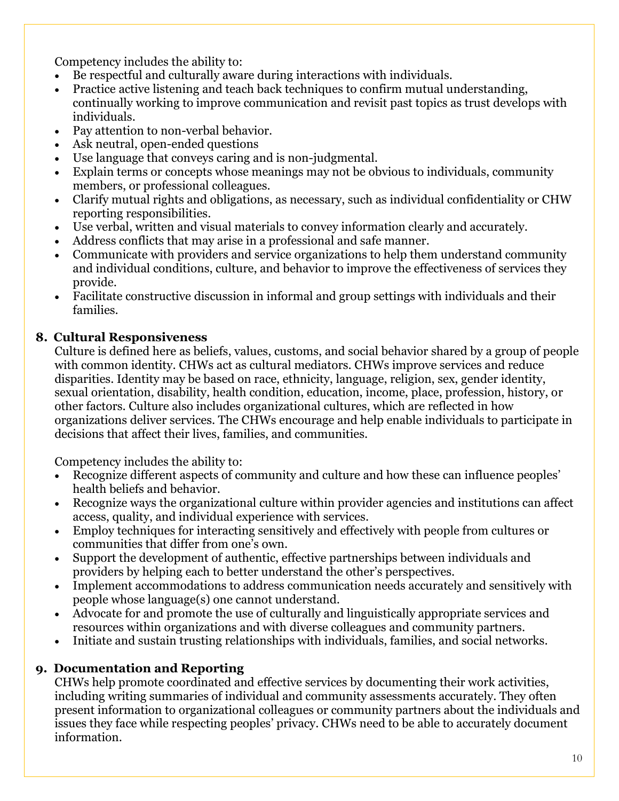Competency includes the ability to:

- Be respectful and culturally aware during interactions with individuals.
- Practice active listening and teach back techniques to confirm mutual understanding, continually working to improve communication and revisit past topics as trust develops with individuals.
- Pay attention to non-verbal behavior.
- Ask neutral, open-ended questions
- Use language that conveys caring and is non-judgmental.
- Explain terms or concepts whose meanings may not be obvious to individuals, community members, or professional colleagues.
- Clarify mutual rights and obligations, as necessary, such as individual confidentiality or CHW reporting responsibilities.
- Use verbal, written and visual materials to convey information clearly and accurately.
- Address conflicts that may arise in a professional and safe manner.
- Communicate with providers and service organizations to help them understand community and individual conditions, culture, and behavior to improve the effectiveness of services they provide.
- Facilitate constructive discussion in informal and group settings with individuals and their families.

#### **8. Cultural Responsiveness**

Culture is defined here as beliefs, values, customs, and social behavior shared by a group of people with common identity. CHWs act as cultural mediators. CHWs improve services and reduce disparities. Identity may be based on race, ethnicity, language, religion, sex, gender identity, sexual orientation, disability, health condition, education, income, place, profession, history, or other factors. Culture also includes organizational cultures, which are reflected in how organizations deliver services. The CHWs encourage and help enable individuals to participate in decisions that affect their lives, families, and communities.

Competency includes the ability to:

- Recognize different aspects of community and culture and how these can influence peoples' health beliefs and behavior.
- Recognize ways the organizational culture within provider agencies and institutions can affect access, quality, and individual experience with services.
- Employ techniques for interacting sensitively and effectively with people from cultures or communities that differ from one's own.
- Support the development of authentic, effective partnerships between individuals and providers by helping each to better understand the other's perspectives.
- Implement accommodations to address communication needs accurately and sensitively with people whose language(s) one cannot understand.
- Advocate for and promote the use of culturally and linguistically appropriate services and resources within organizations and with diverse colleagues and community partners.
- Initiate and sustain trusting relationships with individuals, families, and social networks.

#### **9. Documentation and Reporting**

CHWs help promote coordinated and effective services by documenting their work activities, including writing summaries of individual and community assessments accurately. They often present information to organizational colleagues or community partners about the individuals and issues they face while respecting peoples' privacy. CHWs need to be able to accurately document information.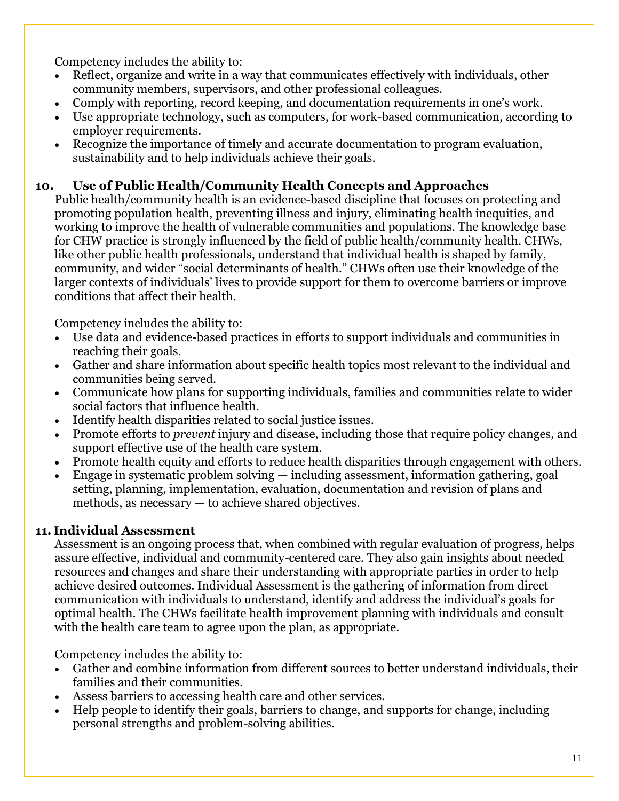Competency includes the ability to:

- Reflect, organize and write in a way that communicates effectively with individuals, other community members, supervisors, and other professional colleagues.
- Comply with reporting, record keeping, and documentation requirements in one's work.
- Use appropriate technology, such as computers, for work-based communication, according to employer requirements.
- Recognize the importance of timely and accurate documentation to program evaluation, sustainability and to help individuals achieve their goals.

#### **10. Use of Public Health/Community Health Concepts and Approaches**

Public health/community health is an evidence-based discipline that focuses on protecting and promoting population health, preventing illness and injury, eliminating health inequities, and working to improve the health of vulnerable communities and populations. The knowledge base for CHW practice is strongly influenced by the field of public health/community health. CHWs, like other public health professionals, understand that individual health is shaped by family, community, and wider "social determinants of health." CHWs often use their knowledge of the larger contexts of individuals' lives to provide support for them to overcome barriers or improve conditions that affect their health.

Competency includes the ability to:

- Use data and evidence-based practices in efforts to support individuals and communities in reaching their goals.
- Gather and share information about specific health topics most relevant to the individual and communities being served.
- Communicate how plans for supporting individuals, families and communities relate to wider social factors that influence health.
- Identify health disparities related to social justice issues.
- Promote efforts to *prevent* injury and disease, including those that require policy changes, and support effective use of the health care system.
- Promote health equity and efforts to reduce health disparities through engagement with others.
- Engage in systematic problem solving including assessment, information gathering, goal setting, planning, implementation, evaluation, documentation and revision of plans and methods, as necessary — to achieve shared objectives.

#### **11. Individual Assessment**

Assessment is an ongoing process that, when combined with regular evaluation of progress, helps assure effective, individual and community-centered care. They also gain insights about needed resources and changes and share their understanding with appropriate parties in order to help achieve desired outcomes. Individual Assessment is the gathering of information from direct communication with individuals to understand, identify and address the individual's goals for optimal health. The CHWs facilitate health improvement planning with individuals and consult with the health care team to agree upon the plan, as appropriate.

Competency includes the ability to:

- Gather and combine information from different sources to better understand individuals, their families and their communities.
- Assess barriers to accessing health care and other services.
- Help people to identify their goals, barriers to change, and supports for change, including personal strengths and problem-solving abilities.